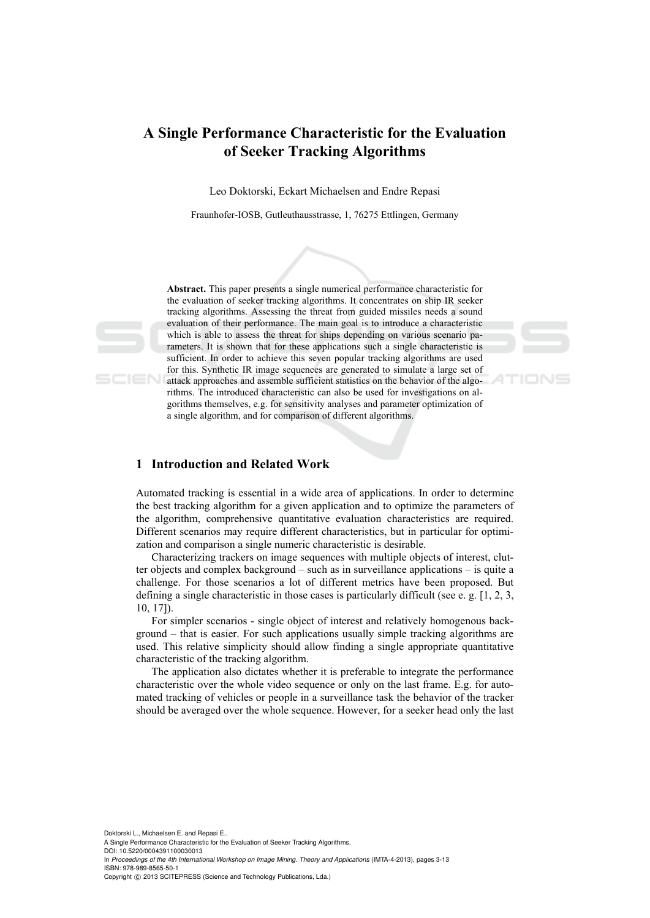# **A Single Performance Characteristic for the Evaluation of Seeker Tracking Algorithms**

Leo Doktorski, Eckart Michaelsen and Endre Repasi

Fraunhofer-IOSB, Gutleuthausstrasse, 1, 76275 Ettlingen, Germany





**Abstract.** This paper presents a single numerical performance characteristic for the evaluation of seeker tracking algorithms. It concentrates on ship IR seeker tracking algorithms. Assessing the threat from guided missiles needs a sound evaluation of their performance. The main goal is to introduce a characteristic which is able to assess the threat for ships depending on various scenario parameters. It is shown that for these applications such a single characteristic is sufficient. In order to achieve this seven popular tracking algorithms are used for this. Synthetic IR image sequences are generated to simulate a large set of attack approaches and assemble sufficient statistics on the behavior of the algorithms. The introduced characteristic can also be used for investigations on algorithms themselves, e.g. for sensitivity analyses and parameter optimization of a single algorithm, and for comparison of different algorithms.

## **1 Introduction and Related Work**

Automated tracking is essential in a wide area of applications. In order to determine the best tracking algorithm for a given application and to optimize the parameters of the algorithm, comprehensive quantitative evaluation characteristics are required. Different scenarios may require different characteristics, but in particular for optimization and comparison a single numeric characteristic is desirable.

Characterizing trackers on image sequences with multiple objects of interest, clutter objects and complex background – such as in surveillance applications – is quite a challenge. For those scenarios a lot of different metrics have been proposed. But defining a single characteristic in those cases is particularly difficult (see e. g. [1, 2, 3, 10, 17]).

For simpler scenarios - single object of interest and relatively homogenous background – that is easier. For such applications usually simple tracking algorithms are used. This relative simplicity should allow finding a single appropriate quantitative characteristic of the tracking algorithm.

The application also dictates whether it is preferable to integrate the performance characteristic over the whole video sequence or only on the last frame. E.g. for automated tracking of vehicles or people in a surveillance task the behavior of the tracker should be averaged over the whole sequence. However, for a seeker head only the last

Doktorski L., Michaelsen E. and Repasi E.. A Single Performance Characteristic for the Evaluation of Seeker Tracking Algorithms. DOI: 10.5220/0004391100030013 In *Proceedings of the 4th International Workshop on Image Mining. Theory and Applications* (IMTA-4-2013), pages 3-13 ISBN: 978-989-8565-50-1 Copyright © 2013 SCITEPRESS (Science and Technology Publications, Lda.)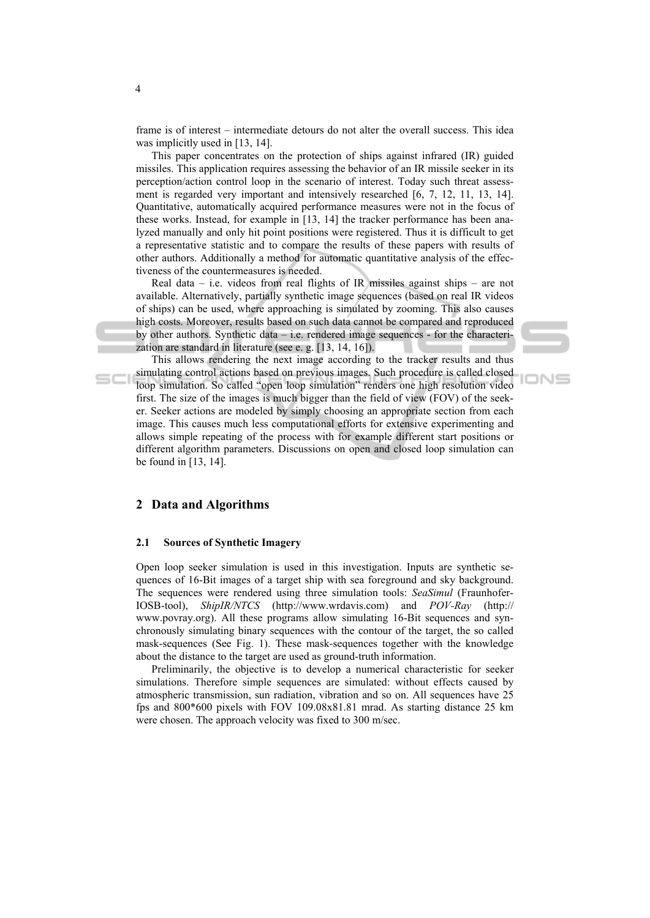frame is of interest – intermediate detours do not alter the overall success. This idea was implicitly used in [13, 14].

This paper concentrates on the protection of ships against infrared (IR) guided missiles. This application requires assessing the behavior of an IR missile seeker in its perception/action control loop in the scenario of interest. Today such threat assessment is regarded very important and intensively researched [6, 7, 12, 11, 13, 14]. Quantitative, automatically acquired performance measures were not in the focus of these works. Instead, for example in [13, 14] the tracker performance has been analyzed manually and only hit point positions were registered. Thus it is difficult to get a representative statistic and to compare the results of these papers with results of other authors. Additionally a method for automatic quantitative analysis of the effectiveness of the countermeasures is needed.

Real data – i.e. videos from real flights of IR missiles against ships – are not available. Alternatively, partially synthetic image sequences (based on real IR videos of ships) can be used, where approaching is simulated by zooming. This also causes high costs. Moreover, results based on such data cannot be compared and reproduced by other authors. Synthetic data – i.e. rendered image sequences - for the characterization are standard in literature (see e. g. [13, 14, 16]).

This allows rendering the next image according to the tracker results and thus simulating control actions based on previous images. Such procedure is called closed loop simulation. So called "open loop simulation" renders one high resolution video first. The size of the images is much bigger than the field of view (FOV) of the seeker. Seeker actions are modeled by simply choosing an appropriate section from each image. This causes much less computational efforts for extensive experimenting and allows simple repeating of the process with for example different start positions or different algorithm parameters. Discussions on open and closed loop simulation can be found in [13, 14].

**IONS** 

## **2 Data and Algorithms**

## **2.1 Sources of Synthetic Imagery**

Open loop seeker simulation is used in this investigation. Inputs are synthetic sequences of 16-Bit images of a target ship with sea foreground and sky background. The sequences were rendered using three simulation tools: *SeaSimul* (Fraunhofer-IOSB-tool), *ShipIR/NTCS* (http://www.wrdavis.com) and *POV-Ray* (http:// www.povray.org). All these programs allow simulating 16-Bit sequences and synchronously simulating binary sequences with the contour of the target, the so called mask-sequences (See Fig. 1). These mask-sequences together with the knowledge about the distance to the target are used as ground-truth information.

Preliminarily, the objective is to develop a numerical characteristic for seeker simulations. Therefore simple sequences are simulated: without effects caused by atmospheric transmission, sun radiation, vibration and so on. All sequences have 25 fps and 800\*600 pixels with FOV 109.08x81.81 mrad. As starting distance 25 km were chosen. The approach velocity was fixed to 300 m/sec.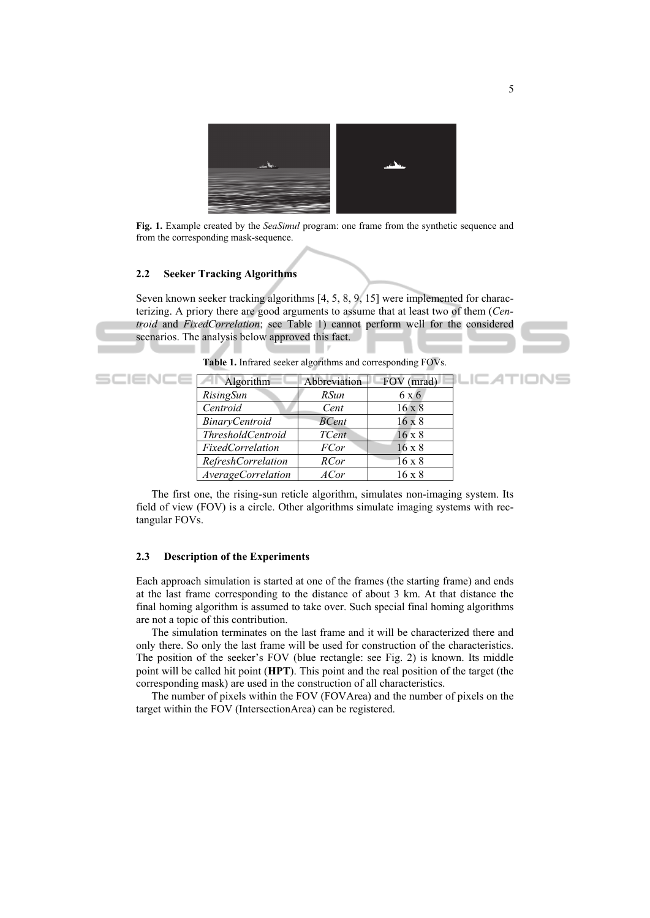

**Fig. 1.** Example created by the *SeaSimul* program: one frame from the synthetic sequence and from the corresponding mask-sequence.

#### **2.2 Seeker Tracking Algorithms**

Seven known seeker tracking algorithms [4, 5, 8, 9, 15] were implemented for characterizing. A priory there are good arguments to assume that at least two of them (*Centroid* and *FixedCorrelation*; see Table 1) cannot perform well for the considered scenarios. The analysis below approved this fact.



| SCIENL | Algorithm                 | <b>Abbreviation</b> | FOV (mrad)    | _IC ATIONS |
|--------|---------------------------|---------------------|---------------|------------|
|        | RisingSun                 | <i>RSun</i>         | 6 x 6         |            |
|        | Centroid                  | Cent                | $16 \times 8$ |            |
|        | BinaryCentroid            | <b>BCent</b>        | $16 \times 8$ |            |
|        | <i>ThresholdCentroid</i>  | <b>TCent</b>        | $16 \times 8$ |            |
|        | <i>FixedCorrelation</i>   | <i>FCor</i>         | $16 \times 8$ |            |
|        | <b>RefreshCorrelation</b> | <b>RCor</b>         | $16 \times 8$ |            |
|        | AverageCorrelation        | ACor                | $16 \times 8$ |            |

**Table 1.** Infrared seeker algorithms and corresponding FOVs.

The first one, the rising-sun reticle algorithm, simulates non-imaging system. Its field of view (FOV) is a circle. Other algorithms simulate imaging systems with rectangular FOVs.

#### **2.3 Description of the Experiments**

Each approach simulation is started at one of the frames (the starting frame) and ends at the last frame corresponding to the distance of about 3 km. At that distance the final homing algorithm is assumed to take over. Such special final homing algorithms are not a topic of this contribution.

The simulation terminates on the last frame and it will be characterized there and only there. So only the last frame will be used for construction of the characteristics. The position of the seeker's FOV (blue rectangle: see Fig. 2) is known. Its middle point will be called hit point (**HPT**). This point and the real position of the target (the corresponding mask) are used in the construction of all characteristics.

The number of pixels within the FOV (FOVArea) and the number of pixels on the target within the FOV (IntersectionArea) can be registered.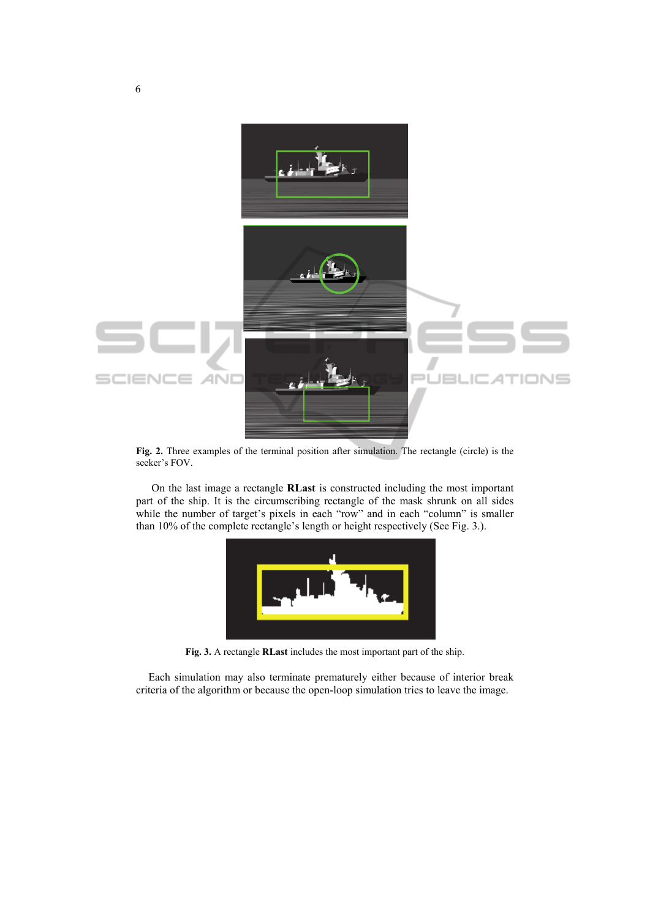

**Fig. 2.** Three examples of the terminal position after simulation. The rectangle (circle) is the seeker's FOV.

On the last image a rectangle **RLast** is constructed including the most important part of the ship. It is the circumscribing rectangle of the mask shrunk on all sides while the number of target's pixels in each "row" and in each "column" is smaller than 10% of the complete rectangle's length or height respectively (See Fig. 3.).



**Fig. 3.** A rectangle **RLast** includes the most important part of the ship.

Each simulation may also terminate prematurely either because of interior break criteria of the algorithm or because the open-loop simulation tries to leave the image.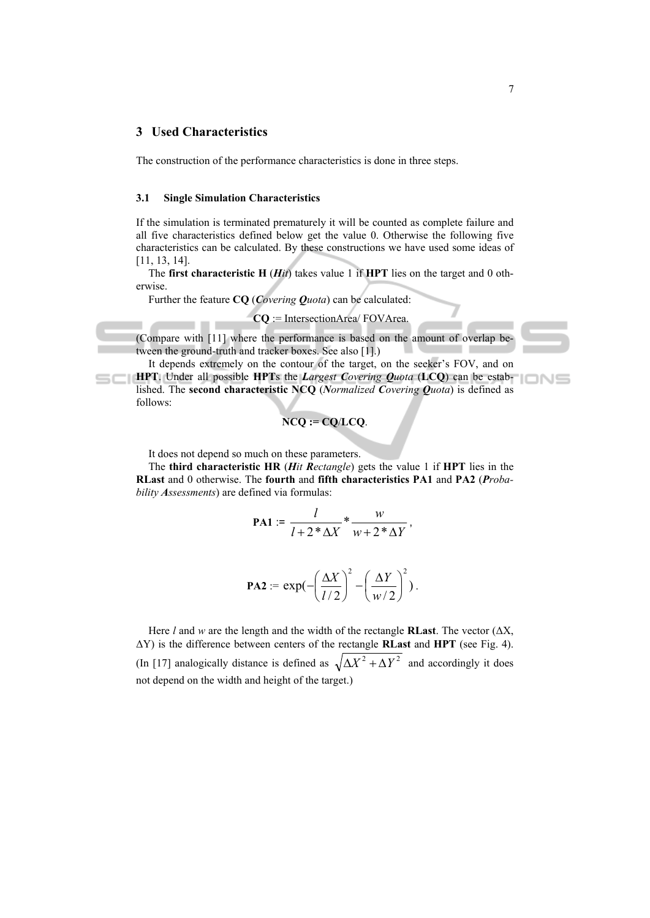## **3 Used Characteristics**

The construction of the performance characteristics is done in three steps.

#### **3.1 Single Simulation Characteristics**

If the simulation is terminated prematurely it will be counted as complete failure and all five characteristics defined below get the value 0. Otherwise the following five characteristics can be calculated. By these constructions we have used some ideas of [11, 13, 14].

The **first characteristic H** (*Hit*) takes value 1 if **HPT** lies on the target and 0 otherwise.

Further the feature **CQ** (*Covering Quota*) can be calculated:

$$
CQ := IntersectionArea / FOVArea.
$$

(Compare with [11] where the performance is based on the amount of overlap between the ground-truth and tracker boxes. See also [1].)

It depends extremely on the contour of the target, on the seeker's FOV, and on **HPT**. Under all possible **HPT**s the *Largest Covering Quota* (**LCQ**) can be established. The **second characteristic NCQ** (*Normalized Covering Quota*) is defined as follows:

$$
N C Q := C Q / L C Q.
$$

It does not depend so much on these parameters.

The **third characteristic HR** (*Hit Rectangle*) gets the value 1 if **HPT** lies in the **RLast** and 0 otherwise. The **fourth** and **fifth characteristics PA1** and **PA2** (*Probability Assessments*) are defined via formulas:

$$
PA1 := \frac{l}{l+2*\Delta X} * \frac{w}{w+2*\Delta Y},
$$

$$
\mathbf{PA2} := \exp\left(-\left(\frac{\Delta X}{l/2}\right)^2 - \left(\frac{\Delta Y}{w/2}\right)^2\right).
$$

Here *l* and *w* are the length and the width of the rectangle **RLast**. The vector ( $\Delta X$ , ΔY) is the difference between centers of the rectangle **RLast** and **HPT** (see Fig. 4). (In [17] analogically distance is defined as  $\sqrt{\Delta X^2 + \Delta Y^2}$  and accordingly it does not depend on the width and height of the target.)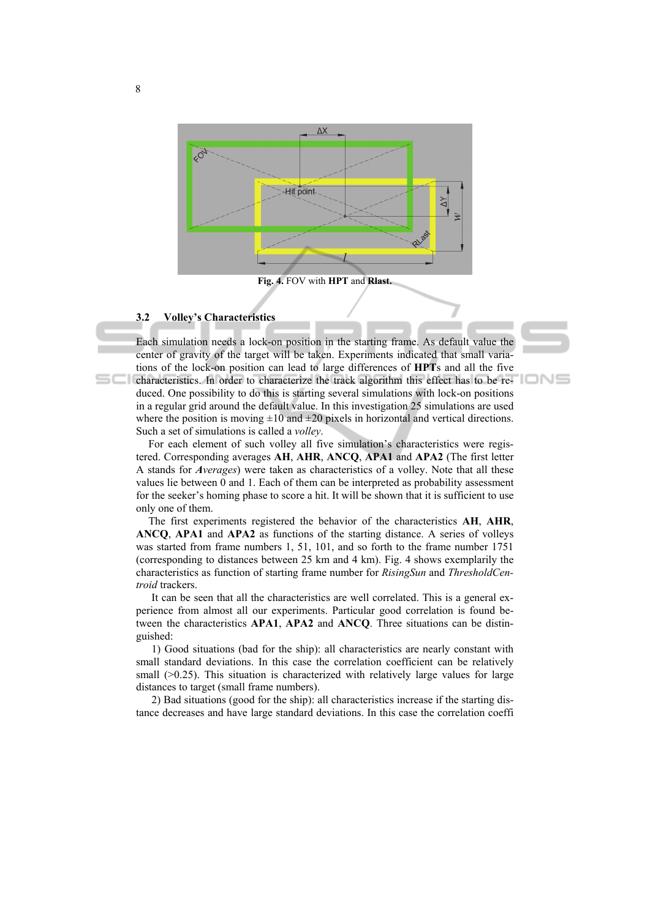

**Fig. 4.** FOV with **HPT** and **Rlast.**

#### **3.2 Volley's Characteristics**

Each simulation needs a lock-on position in the starting frame. As default value the center of gravity of the target will be taken. Experiments indicated that small variations of the lock-on position can lead to large differences of **HPT**s and all the five characteristics. In order to characterize the track algorithm this effect has to be reduced. One possibility to do this is starting several simulations with lock-on positions in a regular grid around the default value. In this investigation 25 simulations are used where the position is moving  $\pm 10$  and  $\pm 20$  pixels in horizontal and vertical directions. Such a set of simulations is called a *volley*.

For each element of such volley all five simulation's characteristics were registered. Corresponding averages **AH**, **AHR**, **ANCQ**, **APA1** and **APA2** (The first letter A stands for *Averages*) were taken as characteristics of a volley. Note that all these values lie between 0 and 1. Each of them can be interpreted as probability assessment for the seeker's homing phase to score a hit. It will be shown that it is sufficient to use only one of them.

The first experiments registered the behavior of the characteristics **AH**, **AHR**, **ANCQ**, **APA1** and **APA2** as functions of the starting distance. A series of volleys was started from frame numbers 1, 51, 101, and so forth to the frame number 1751 (corresponding to distances between 25 km and 4 km). Fig. 4 shows exemplarily the characteristics as function of starting frame number for *RisingSun* and *ThresholdCentroid* trackers.

It can be seen that all the characteristics are well correlated. This is a general experience from almost all our experiments. Particular good correlation is found between the characteristics **APA1**, **APA2** and **ANCQ**. Three situations can be distinguished:

1) Good situations (bad for the ship): all characteristics are nearly constant with small standard deviations. In this case the correlation coefficient can be relatively small  $(>0.25)$ . This situation is characterized with relatively large values for large distances to target (small frame numbers).

2) Bad situations (good for the ship): all characteristics increase if the starting distance decreases and have large standard deviations. In this case the correlation coeffi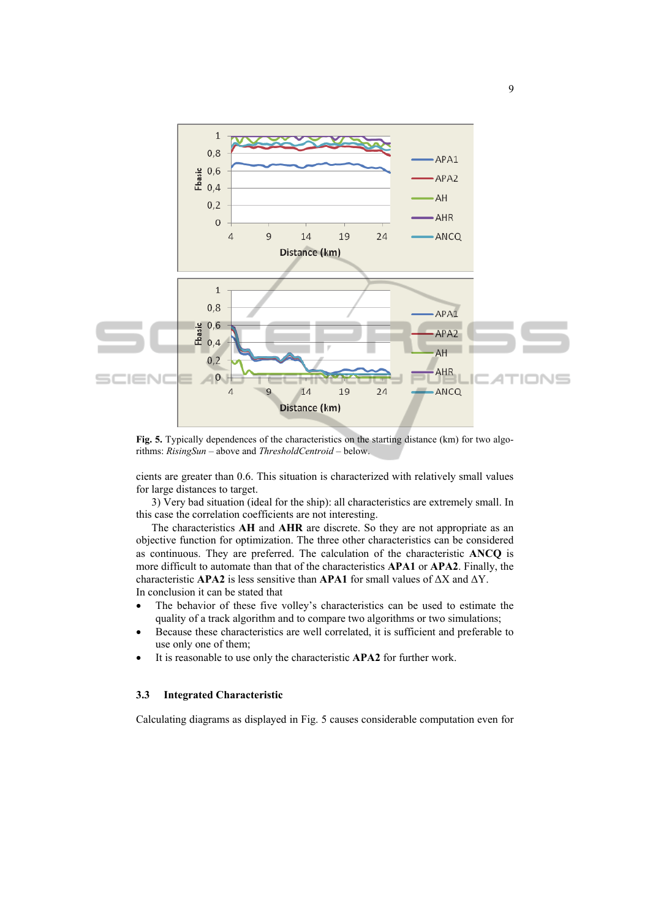

**Fig. 5.** Typically dependences of the characteristics on the starting distance (km) for two algorithms: *RisingSun* – above and *ThresholdCentroid* – below.

cients are greater than 0.6. This situation is characterized with relatively small values for large distances to target.

3) Very bad situation (ideal for the ship): all characteristics are extremely small. In this case the correlation coefficients are not interesting.

The characteristics **AH** and **AHR** are discrete. So they are not appropriate as an objective function for optimization. The three other characteristics can be considered as continuous. They are preferred. The calculation of the characteristic **ANCQ** is more difficult to automate than that of the characteristics **APA1** or **APA2**. Finally, the characteristic **APA2** is less sensitive than **APA1** for small values of ΔX and ΔY. In conclusion it can be stated that

- The behavior of these five volley's characteristics can be used to estimate the quality of a track algorithm and to compare two algorithms or two simulations;
- Because these characteristics are well correlated, it is sufficient and preferable to use only one of them;
- It is reasonable to use only the characteristic **APA2** for further work.

#### **3.3 Integrated Characteristic**

Calculating diagrams as displayed in Fig. 5 causes considerable computation even for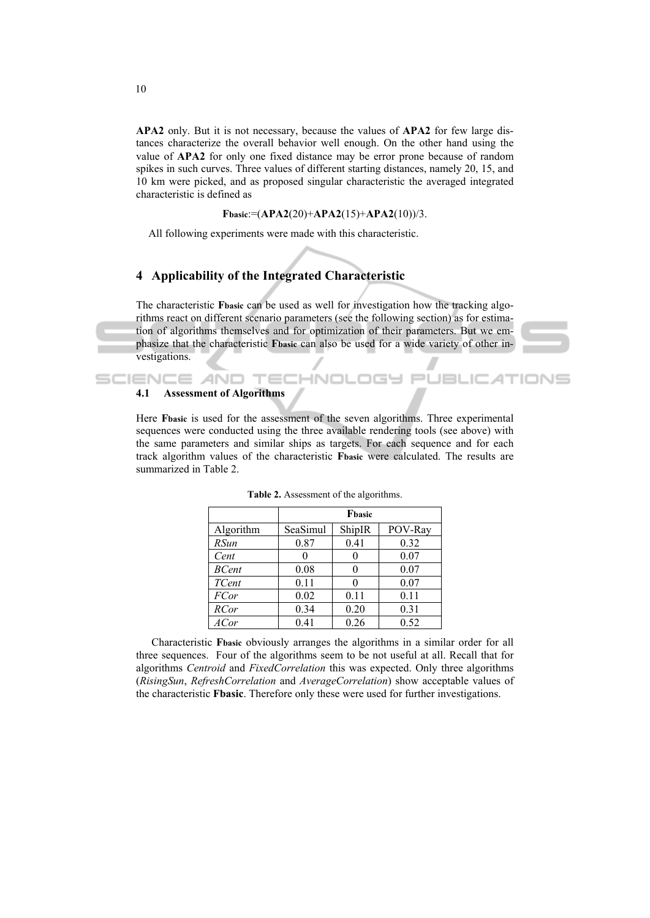**APA2** only. But it is not necessary, because the values of **APA2** for few large distances characterize the overall behavior well enough. On the other hand using the value of **APA2** for only one fixed distance may be error prone because of random spikes in such curves. Three values of different starting distances, namely 20, 15, and 10 km were picked, and as proposed singular characteristic the averaged integrated characteristic is defined as

**Fbasic**:=(**APA2**(20)+**APA2**(15)+**APA2**(10))/3.

All following experiments were made with this characteristic.

# **4 Applicability of the Integrated Characteristic**

The characteristic **Fbasic** can be used as well for investigation how the tracking algorithms react on different scenario parameters (see the following section) as for estimation of algorithms themselves and for optimization of their parameters. But we emphasize that the characteristic **Fbasic** can also be used for a wide variety of other investigations.

INOL

**JBLIC ATIONS** 

#### **4.1 Assessment of Algorithms**

**SCIENCE AND** 

Here **Fbasic** is used for the assessment of the seven algorithms. Three experimental sequences were conducted using the three available rendering tools (see above) with the same parameters and similar ships as targets. For each sequence and for each track algorithm values of the characteristic **Fbasic** were calculated. The results are summarized in Table 2.

|                  | Fbasic   |        |         |  |  |  |
|------------------|----------|--------|---------|--|--|--|
| Algorithm        | SeaSimul | ShipIR | POV-Ray |  |  |  |
| <b>RSun</b>      | 0.87     | 0.41   | 0.32    |  |  |  |
| Cent             |          |        | 0.07    |  |  |  |
| <b>BCent</b>     | 0.08     |        | 0.07    |  |  |  |
| TCent            | 0.11     |        | 0.07    |  |  |  |
| <b>FCor</b>      | 0.02     | 0.11   | 0.11    |  |  |  |
| <b>RCor</b>      | 0.34     | 0.20   | 0.31    |  |  |  |
| AC <sub>or</sub> | 0.41     | 0.26   | 0.52    |  |  |  |

**Table 2.** Assessment of the algorithms.

Characteristic **Fbasic** obviously arranges the algorithms in a similar order for all three sequences. Four of the algorithms seem to be not useful at all. Recall that for algorithms *Centroid* and *FixedCorrelation* this was expected. Only three algorithms (*RisingSun*, *RefreshCorrelation* and *AverageCorrelation*) show acceptable values of the characteristic **Fbasic**. Therefore only these were used for further investigations.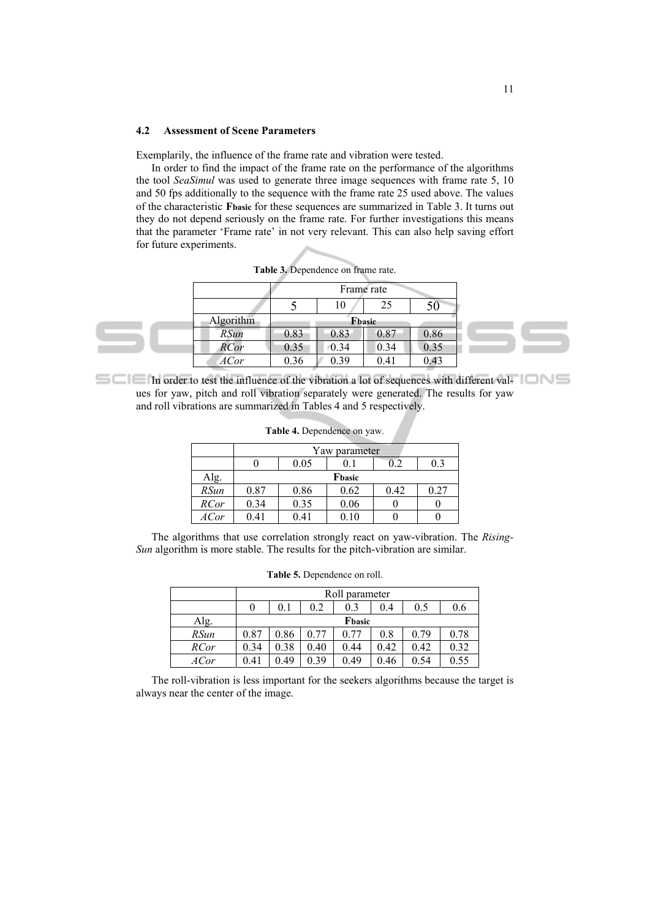#### **4.2 Assessment of Scene Parameters**

Exemplarily, the influence of the frame rate and vibration were tested.

In order to find the impact of the frame rate on the performance of the algorithms the tool *SeaSimul* was used to generate three image sequences with frame rate 5, 10 and 50 fps additionally to the sequence with the frame rate 25 used above. The values of the characteristic **Fbasic** for these sequences are summarized in Table 3. It turns out they do not depend seriously on the frame rate. For further investigations this means that the parameter 'Frame rate' in not very relevant. This can also help saving effort for future experiments.

| <b>rapic 9.</b> Dependence on Hanne rate. |            |      |      |      |  |
|-------------------------------------------|------------|------|------|------|--|
|                                           | Frame rate |      |      |      |  |
|                                           |            | 10   | 25   | 50   |  |
| Algorithm                                 | Fbasic     |      |      |      |  |
| <i>RSun</i>                               | 0.83       | 0.83 | 0.87 | 0.86 |  |
| <b>RCor</b>                               | 0.35       | 0.34 | 0.34 | 0.35 |  |
| ACor                                      | 0.36       | 0.39 | 0.41 | 0.43 |  |

**Table 3.** Dependence on frame rate.

In order to test the influence of the vibration a lot of sequences with different values for yaw, pitch and roll vibration separately were generated. The results for yaw and roll vibrations are summarized in Tables 4 and 5 respectively.

|             | Yaw parameter |        |      |      |      |  |  |  |  |
|-------------|---------------|--------|------|------|------|--|--|--|--|
|             |               | 0.05   | 0. I |      | 0.3  |  |  |  |  |
| Alg.        |               | Fbasic |      |      |      |  |  |  |  |
| <b>RSun</b> | 0.87          | 0.86   | 0.62 | 0.42 | 0.27 |  |  |  |  |
| <b>RCor</b> | 0.34          | 0.35   | 0.06 |      |      |  |  |  |  |
| ACor        | 0.41          | 0.41   | .10  |      |      |  |  |  |  |

**Table 4.** Dependence on yaw.

The algorithms that use correlation strongly react on yaw-vibration. The *Rising-Sun* algorithm is more stable. The results for the pitch-vibration are similar.

|  | Table 5. Dependence on roll. |  |
|--|------------------------------|--|
|--|------------------------------|--|

|             | Roll parameter |      |      |      |      |      |      |  |
|-------------|----------------|------|------|------|------|------|------|--|
|             |                | 0.1  | 0.2  | 0.3  | 0.4  | 0.5  | 0.6  |  |
| Alg.        | Fbasic         |      |      |      |      |      |      |  |
| RSun        | 0.87           | 0.86 | 0.77 | 0.77 | 0.8  | 0.79 | 0.78 |  |
| <b>RCor</b> | 0.34           | 0.38 | 0.40 | 0.44 | 0.42 | 0.42 | 0.32 |  |
| ACor        | 0.41           | 0.49 | 0.39 | 0.49 | 0.46 | 0.54 | 0.55 |  |

The roll-vibration is less important for the seekers algorithms because the target is always near the center of the image.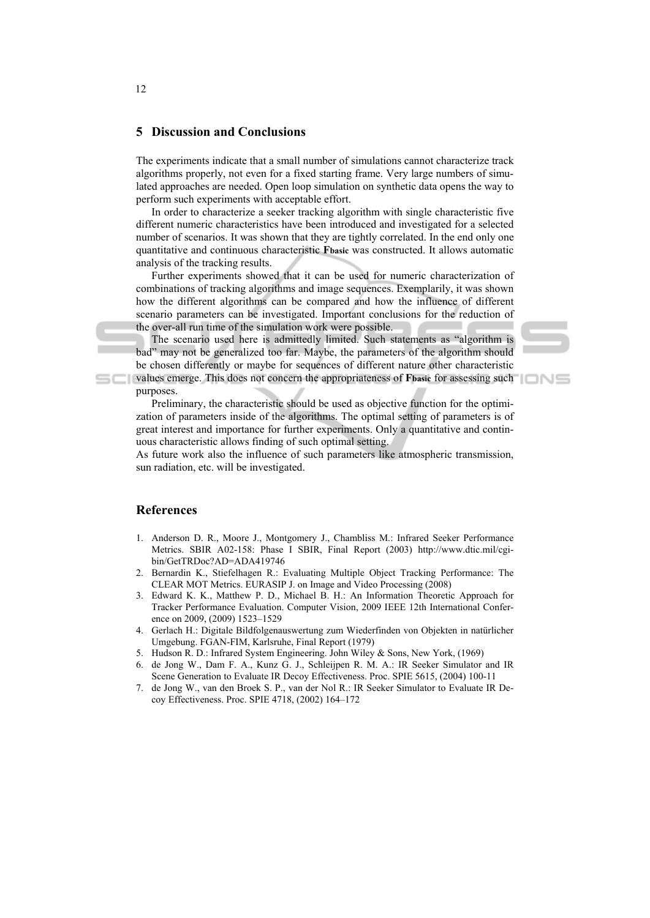## **5 Discussion and Conclusions**

The experiments indicate that a small number of simulations cannot characterize track algorithms properly, not even for a fixed starting frame. Very large numbers of simulated approaches are needed. Open loop simulation on synthetic data opens the way to perform such experiments with acceptable effort.

In order to characterize a seeker tracking algorithm with single characteristic five different numeric characteristics have been introduced and investigated for a selected number of scenarios. It was shown that they are tightly correlated. In the end only one quantitative and continuous characteristic **Fbasic** was constructed. It allows automatic analysis of the tracking results.

Further experiments showed that it can be used for numeric characterization of combinations of tracking algorithms and image sequences. Exemplarily, it was shown how the different algorithms can be compared and how the influence of different scenario parameters can be investigated. Important conclusions for the reduction of the over-all run time of the simulation work were possible.



The scenario used here is admittedly limited. Such statements as "algorithm is bad" may not be generalized too far. Maybe, the parameters of the algorithm should be chosen differently or maybe for sequences of different nature other characteristic

values emerge. This does not concern the appropriateness of **Fbasic** for assessing such purposes.

Preliminary, the characteristic should be used as objective function for the optimization of parameters inside of the algorithms. The optimal setting of parameters is of great interest and importance for further experiments. Only a quantitative and continuous characteristic allows finding of such optimal setting.

As future work also the influence of such parameters like atmospheric transmission, sun radiation, etc. will be investigated.

## **References**

- 1. Anderson D. R., Moore J., Montgomery J., Chambliss M.: Infrared Seeker Performance Metrics. SBIR A02-158: Phase I SBIR, Final Report (2003) http://www.dtic.mil/cgibin/GetTRDoc?AD=ADA419746
- 2. Bernardin K., Stiefelhagen R.: Evaluating Multiple Object Tracking Performance: The CLEAR MOT Metrics. EURASIP J. on Image and Video Processing (2008)
- 3. Edward K. K., Matthew P. D., Michael B. H.: An Information Theoretic Approach for Tracker Performance Evaluation. Computer Vision, 2009 IEEE 12th International Conference on 2009, (2009) 1523–1529
- 4. Gerlach H.: Digitale Bildfolgenauswertung zum Wiederfinden von Objekten in natürlicher Umgebung. FGAN-FIM, Karlsruhe, Final Report (1979)
- 5. Hudson R. D.: Infrared System Engineering. John Wiley & Sons, New York, (1969)
- 6. de Jong W., Dam F. A., Kunz G. J., Schleijpen R. M. A.: IR Seeker Simulator and IR Scene Generation to Evaluate IR Decoy Effectiveness. Proc. SPIE 5615, (2004) 100-11
- 7. de Jong W., van den Broek S. P., van der Nol R.: IR Seeker Simulator to Evaluate IR Decoy Effectiveness. Proc. SPIE 4718, (2002) 164–172